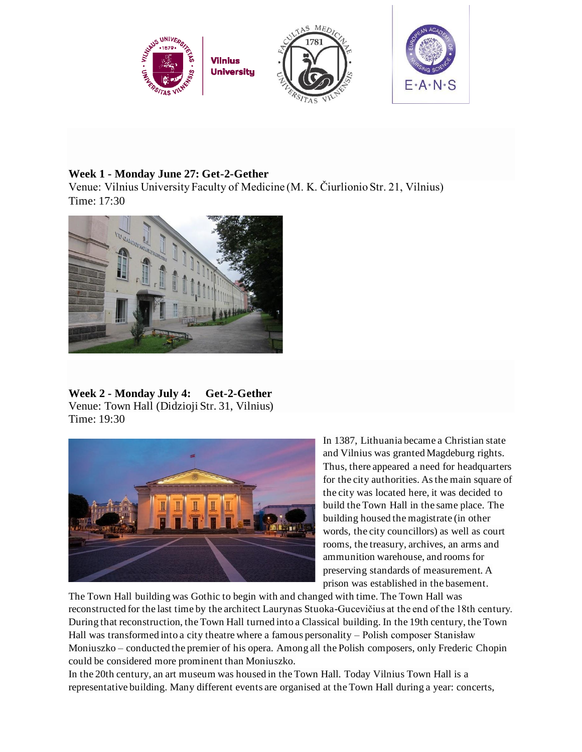

## **Week 1 - Monday June 27: Get-2-Gether**

Venue: Vilnius University Faculty of Medicine (M. K. Čiurlionio Str. 21, Vilnius) Time: 17:30



**Week 2 - Monday July 4: Get-2-Gether**  Venue: Town Hall (Didzioji Str. 31, Vilnius) Time: 19:30



In 1387, Lithuania became a Christian state and Vilnius was granted Magdeburg rights. Thus, there appeared a need for headquarters for the city authorities. As the main square of the city was located here, it was decided to build the Town Hall in the same place. The building housed the magistrate (in other words, the city councillors) as well as court rooms, the treasury, archives, an arms and ammunition warehouse, and rooms for preserving standards of measurement. A prison was established in the basement.

The Town Hall building was Gothic to begin with and changed with time. The Town Hall was reconstructed for the last time by the architect Laurynas Stuoka-Gucevičius at the end of the 18th century. During that reconstruction, the Town Hall turned into a Classical building. In the 19th century, the Town Hall was transformed into a city theatre where a famous personality – Polish composer Stanisław Moniuszko – conducted the premier of his opera. Among all the Polish composers, only Frederic Chopin could be considered more prominent than Moniuszko.

In the 20th century, an art museum was housed in the Town Hall. Today Vilnius Town Hall is a representative building. Many different events are organised at the Town Hall during a year: concerts,